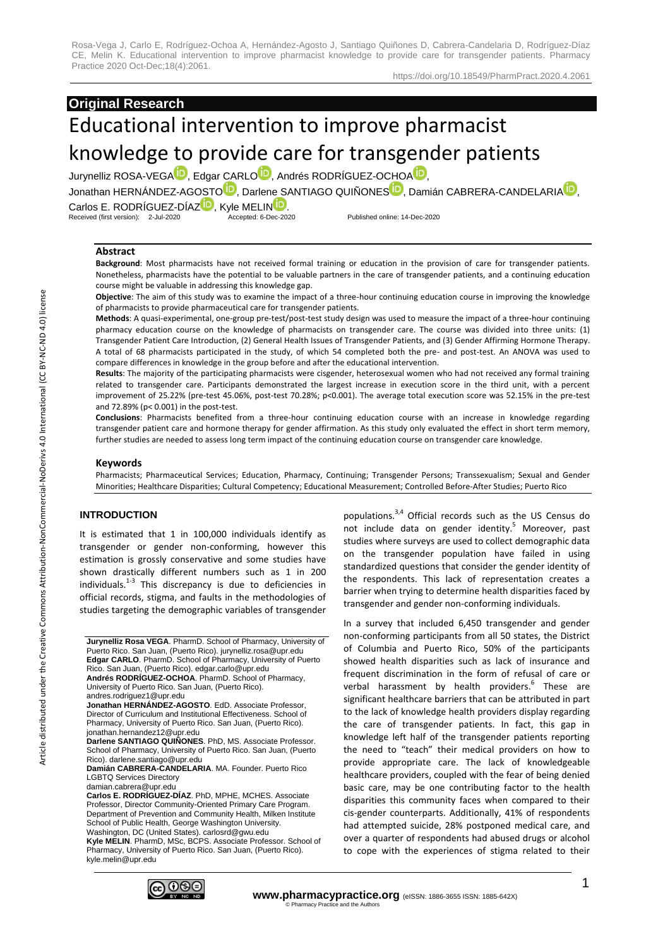https://doi.org/10.18549/PharmPract.2020.4.2061

# **Original Research**

# Educational intervention to improve pharmacist knowledge to provide care for transgender patients

Jurynelliz ROS[A](https://orcid.org/0000-0002-9755-4370)-VEGA<sup>D</sup>, Edgar CARL[O](https://orcid.org/0000-0003-1475-9424)<sup>D</sup>, Andrés RODRÍGUEZ-OCHOA<sup>D</sup>,

Jonathan HERNÁNDEZ-AG[O](https://orcid.org/0000-0002-7624-2730)[S](https://orcid.org/0000-0001-5802-9381)TO<sup>ID</sup>[,](https://orcid.org/0000-0002-7377-6497) Darlene SANTIAGO QUIÑONES<sup>ID</sup>, Damián CABRERA-CANDELARIA<sup>ID</sup>.

Carlos E. RODRÍGUE[Z](https://orcid.org/0000-0001-6333-0654)-DÍAZ<sup>TD</sup>, Kyle MELI[N](https://orcid.org/0000-0002-4698-8021)**ID**.<br>Received (first version):  $2\nu$ Jul-2020<br>Accepted: 6-Dec-2020 Received (first version): 2-Jul-2020 Accepted: 6-Dec-2020 Published online: 14-Dec-2020

# **Abstract**

**Background**: Most pharmacists have not received formal training or education in the provision of care for transgender patients. Nonetheless, pharmacists have the potential to be valuable partners in the care of transgender patients, and a continuing education course might be valuable in addressing this knowledge gap.

**Objective**: The aim of this study was to examine the impact of a three-hour continuing education course in improving the knowledge of pharmacists to provide pharmaceutical care for transgender patients.

**Methods**: A quasi-experimental, one-group pre-test/post-test study design was used to measure the impact of a three-hour continuing pharmacy education course on the knowledge of pharmacists on transgender care. The course was divided into three units: (1) Transgender Patient Care Introduction, (2) General Health Issues of Transgender Patients, and (3) Gender Affirming Hormone Therapy. A total of 68 pharmacists participated in the study, of which 54 completed both the pre- and post-test. An ANOVA was used to compare differences in knowledge in the group before and after the educational intervention.

**Results**: The majority of the participating pharmacists were cisgender, heterosexual women who had not received any formal training related to transgender care. Participants demonstrated the largest increase in execution score in the third unit, with a percent improvement of 25.22% (pre-test 45.06%, post-test 70.28%; p<0.001). The average total execution score was 52.15% in the pre-test and 72.89% (p< 0.001) in the post-test.

**Conclusions**: Pharmacists benefited from a three-hour continuing education course with an increase in knowledge regarding transgender patient care and hormone therapy for gender affirmation. As this study only evaluated the effect in short term memory, further studies are needed to assess long term impact of the continuing education course on transgender care knowledge.

## **Keywords**

Pharmacists; Pharmaceutical Services; Education, Pharmacy, Continuing; Transgender Persons; Transsexualism; Sexual and Gender Minorities; Healthcare Disparities; Cultural Competency; Educational Measurement; Controlled Before-After Studies; Puerto Rico

# **INTRODUCTION**

It is estimated that 1 in 100,000 individuals identify as transgender or gender non-conforming, however this estimation is grossly conservative and some studies have shown drastically different numbers such as 1 in 200 individuals.<sup>1-3</sup> This discrepancy is due to deficiencies in official records, stigma, and faults in the methodologies of studies targeting the demographic variables of transgender

**Jurynelliz Rosa VEGA**. PharmD. School of Pharmacy, University of Puerto Rico. San Juan, (Puerto Rico). jurynelliz.rosa@upr.edu **Edgar CARLO**. PharmD. School of Pharmacy, University of Puerto Rico. San Juan, (Puerto Rico). edgar.carlo@upr.edu **Andrés RODRÍGUEZ-OCHOA**. PharmD. School of Pharmacy, University of Puerto Rico. San Juan, (Puerto Rico). andres.rodriguez1@upr.edu

**Jonathan HERNÁNDEZ-AGOSTO**. EdD. Associate Professor, Director of Curriculum and Institutional Effectiveness. School of Pharmacy, University of Puerto Rico. San Juan, (Puerto Rico). jonathan.hernandez12@upr.edu

**Darlene SANTIAGO QUIÑONES**. PhD, MS. Associate Professor. School of Pharmacy, University of Puerto Rico. San Juan, (Puerto Rico). darlene.santiago@upr.edu

**Damián CABRERA-CANDELARIA**. MA. Founder. Puerto Rico LGBTQ Services Directory damian.cabrera@upr.edu

**Carlos E. RODRÍGUEZ-DÍAZ**. PhD, MPHE, MCHES. Associate Professor, Director Community-Oriented Primary Care Program. Department of Prevention and Community Health, Milken Institute School of Public Health, George Washington University. Washington, DC (United States). carlosrd@gwu.edu

**Kyle MELIN**. PharmD, MSc, BCPS. Associate Professor. School of Pharmacy, University of Puerto Rico. San Juan, (Puerto Rico). kyle.melin@upr.edu

populations.3,4 Official records such as the US Census do not include data on gender identity.<sup>5</sup> Moreover, past studies where surveys are used to collect demographic data on the transgender population have failed in using standardized questions that consider the gender identity of the respondents. This lack of representation creates a barrier when trying to determine health disparities faced by transgender and gender non-conforming individuals.

In a survey that included 6,450 transgender and gender non-conforming participants from all 50 states, the District of Columbia and Puerto Rico, 50% of the participants showed health disparities such as lack of insurance and frequent discrimination in the form of refusal of care or verbal harassment by health providers.<sup>6</sup> These are significant healthcare barriers that can be attributed in part to the lack of knowledge health providers display regarding the care of transgender patients. In fact, this gap in knowledge left half of the transgender patients reporting the need to "teach" their medical providers on how to provide appropriate care. The lack of knowledgeable healthcare providers, coupled with the fear of being denied basic care, may be one contributing factor to the health disparities this community faces when compared to their cis-gender counterparts. Additionally, 41% of respondents had attempted suicide, 28% postponed medical care, and over a quarter of respondents had abused drugs or alcohol to cope with the experiences of stigma related to their

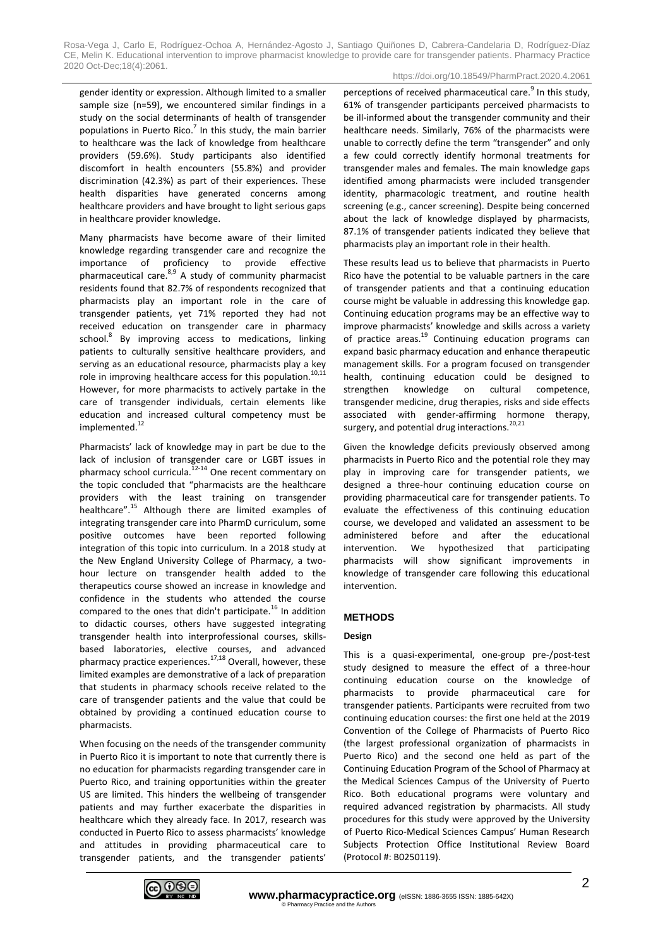https://doi.org/10.18549/PharmPract.2020.4.2061

gender identity or expression. Although limited to a smaller sample size (n=59), we encountered similar findings in a study on the social determinants of health of transgender populations in Puerto Rico.<sup>7</sup> In this study, the main barrier to healthcare was the lack of knowledge from healthcare providers (59.6%). Study participants also identified discomfort in health encounters (55.8%) and provider discrimination (42.3%) as part of their experiences. These health disparities have generated concerns among healthcare providers and have brought to light serious gaps in healthcare provider knowledge.

Many pharmacists have become aware of their limited knowledge regarding transgender care and recognize the importance of proficiency to provide effective pharmaceutical care. $8,9$  A study of community pharmacist residents found that 82.7% of respondents recognized that pharmacists play an important role in the care of transgender patients, yet 71% reported they had not received education on transgender care in pharmacy school.<sup>8</sup> By improving access to medications, linking patients to culturally sensitive healthcare providers, and serving as an educational resource, pharmacists play a key role in improving healthcare access for this population.<sup>10,11</sup> However, for more pharmacists to actively partake in the care of transgender individuals, certain elements like education and increased cultural competency must be implemented.<sup>12</sup>

Pharmacists' lack of knowledge may in part be due to the lack of inclusion of transgender care or LGBT issues in pharmacy school curricula.<sup>12-14</sup> One recent commentary on the topic concluded that "pharmacists are the healthcare providers with the least training on transgender healthcare".<sup>15</sup> Although there are limited examples of integrating transgender care into PharmD curriculum, some positive outcomes have been reported following integration of this topic into curriculum. In a 2018 study at the New England University College of Pharmacy, a twohour lecture on transgender health added to the therapeutics course showed an increase in knowledge and confidence in the students who attended the course compared to the ones that didn't participate.<sup>16</sup> In addition to didactic courses, others have suggested integrating transgender health into interprofessional courses, skillsbased laboratories, elective courses, and advanced pharmacy practice experiences.<sup>17,18</sup> Overall, however, these limited examples are demonstrative of a lack of preparation that students in pharmacy schools receive related to the care of transgender patients and the value that could be obtained by providing a continued education course to pharmacists.

When focusing on the needs of the transgender community in Puerto Rico it is important to note that currently there is no education for pharmacists regarding transgender care in Puerto Rico, and training opportunities within the greater US are limited. This hinders the wellbeing of transgender patients and may further exacerbate the disparities in healthcare which they already face. In 2017, research was conducted in Puerto Rico to assess pharmacists' knowledge and attitudes in providing pharmaceutical care to transgender patients, and the transgender patients'

perceptions of received pharmaceutical care.<sup>9</sup> In this study, 61% of transgender participants perceived pharmacists to be ill-informed about the transgender community and their healthcare needs. Similarly, 76% of the pharmacists were unable to correctly define the term "transgender" and only a few could correctly identify hormonal treatments for transgender males and females. The main knowledge gaps identified among pharmacists were included transgender identity, pharmacologic treatment, and routine health screening (e.g., cancer screening). Despite being concerned about the lack of knowledge displayed by pharmacists, 87.1% of transgender patients indicated they believe that pharmacists play an important role in their health.

These results lead us to believe that pharmacists in Puerto Rico have the potential to be valuable partners in the care of transgender patients and that a continuing education course might be valuable in addressing this knowledge gap. Continuing education programs may be an effective way to improve pharmacists' knowledge and skills across a variety of practice areas.<sup>19</sup> Continuing education programs can expand basic pharmacy education and enhance therapeutic management skills. For a program focused on transgender health, continuing education could be designed to strengthen knowledge on cultural competence, transgender medicine, drug therapies, risks and side effects associated with gender-affirming hormone therapy, surgery, and potential drug interactions.<sup>20,21</sup>

Given the knowledge deficits previously observed among pharmacists in Puerto Rico and the potential role they may play in improving care for transgender patients, we designed a three-hour continuing education course on providing pharmaceutical care for transgender patients. To evaluate the effectiveness of this continuing education course, we developed and validated an assessment to be administered before and after the educational intervention. We hypothesized that participating pharmacists will show significant improvements in knowledge of transgender care following this educational intervention.

# **METHODS**

# **Design**

This is a quasi-experimental, one-group pre-/post-test study designed to measure the effect of a three-hour continuing education course on the knowledge of pharmacists to provide pharmaceutical care for transgender patients. Participants were recruited from two continuing education courses: the first one held at the 2019 Convention of the College of Pharmacists of Puerto Rico (the largest professional organization of pharmacists in Puerto Rico) and the second one held as part of the Continuing Education Program of the School of Pharmacy at the Medical Sciences Campus of the University of Puerto Rico. Both educational programs were voluntary and required advanced registration by pharmacists. All study procedures for this study were approved by the University of Puerto Rico-Medical Sciences Campus' Human Research Subjects Protection Office Institutional Review Board (Protocol #: B0250119).

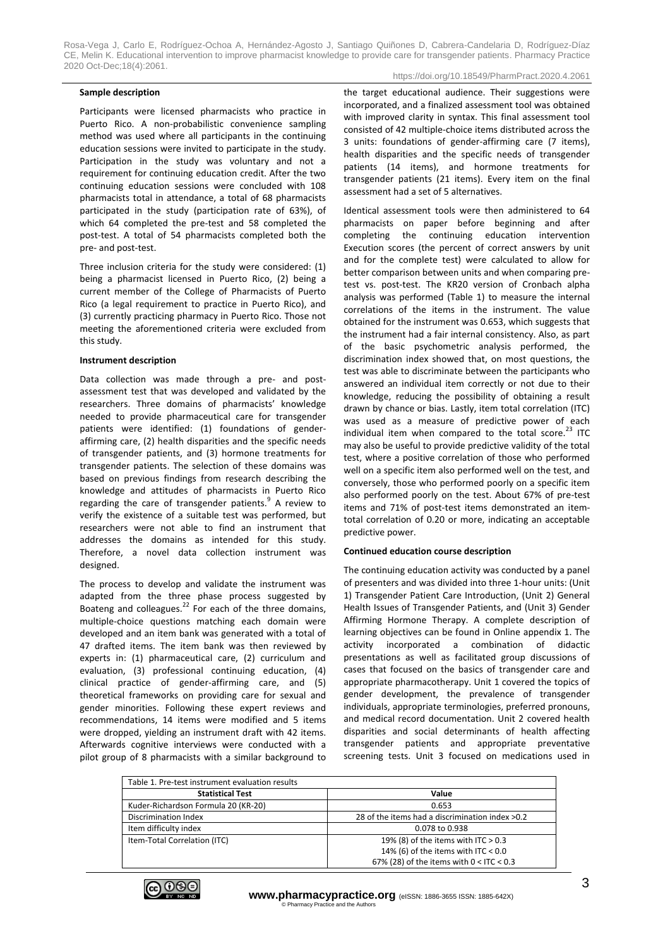#### **Sample description**

https://doi.org/10.18549/PharmPract.2020.4.2061

Participants were licensed pharmacists who practice in Puerto Rico. A non-probabilistic convenience sampling method was used where all participants in the continuing education sessions were invited to participate in the study. Participation in the study was voluntary and not a requirement for continuing education credit. After the two continuing education sessions were concluded with 108 pharmacists total in attendance, a total of 68 pharmacists participated in the study (participation rate of 63%), of which 64 completed the pre-test and 58 completed the post-test. A total of 54 pharmacists completed both the pre- and post-test.

Three inclusion criteria for the study were considered: (1) being a pharmacist licensed in Puerto Rico, (2) being a current member of the College of Pharmacists of Puerto Rico (a legal requirement to practice in Puerto Rico), and (3) currently practicing pharmacy in Puerto Rico. Those not meeting the aforementioned criteria were excluded from this study.

#### **Instrument description**

Data collection was made through a pre- and postassessment test that was developed and validated by the researchers. Three domains of pharmacists' knowledge needed to provide pharmaceutical care for transgender patients were identified: (1) foundations of genderaffirming care, (2) health disparities and the specific needs of transgender patients, and (3) hormone treatments for transgender patients. The selection of these domains was based on previous findings from research describing the knowledge and attitudes of pharmacists in Puerto Rico regarding the care of transgender patients.<sup>9</sup> A review to verify the existence of a suitable test was performed, but researchers were not able to find an instrument that addresses the domains as intended for this study. Therefore, a novel data collection instrument was designed.

The process to develop and validate the instrument was adapted from the three phase process suggested by Boateng and colleagues. $^{22}$  For each of the three domains, multiple-choice questions matching each domain were developed and an item bank was generated with a total of 47 drafted items. The item bank was then reviewed by experts in: (1) pharmaceutical care, (2) curriculum and evaluation, (3) professional continuing education, (4) clinical practice of gender-affirming care, and (5) theoretical frameworks on providing care for sexual and gender minorities. Following these expert reviews and recommendations, 14 items were modified and 5 items were dropped, yielding an instrument draft with 42 items. Afterwards cognitive interviews were conducted with a pilot group of 8 pharmacists with a similar background to the target educational audience. Their suggestions were incorporated, and a finalized assessment tool was obtained with improved clarity in syntax. This final assessment tool consisted of 42 multiple-choice items distributed across the 3 units: foundations of gender-affirming care (7 items), health disparities and the specific needs of transgender patients (14 items), and hormone treatments for transgender patients (21 items). Every item on the final assessment had a set of 5 alternatives.

Identical assessment tools were then administered to 64 pharmacists on paper before beginning and after completing the continuing education intervention Execution scores (the percent of correct answers by unit and for the complete test) were calculated to allow for better comparison between units and when comparing pretest vs. post-test. The KR20 version of Cronbach alpha analysis was performed (Table 1) to measure the internal correlations of the items in the instrument. The value obtained for the instrument was 0.653, which suggests that the instrument had a fair internal consistency. Also, as part of the basic psychometric analysis performed, the discrimination index showed that, on most questions, the test was able to discriminate between the participants who answered an individual item correctly or not due to their knowledge, reducing the possibility of obtaining a result drawn by chance or bias. Lastly, item total correlation (ITC) was used as a measure of predictive power of each individual item when compared to the total score. $^{23}$  ITC may also be useful to provide predictive validity of the total test, where a positive correlation of those who performed well on a specific item also performed well on the test, and conversely, those who performed poorly on a specific item also performed poorly on the test. About 67% of pre-test items and 71% of post-test items demonstrated an itemtotal correlation of 0.20 or more, indicating an acceptable predictive power.

#### **Continued education course description**

The continuing education activity was conducted by a panel of presenters and was divided into three 1-hour units: (Unit 1) Transgender Patient Care Introduction, (Unit 2) General Health Issues of Transgender Patients, and (Unit 3) Gender Affirming Hormone Therapy. A complete description of learning objectives can be found in Online appendix 1. The activity incorporated a combination of didactic presentations as well as facilitated group discussions of cases that focused on the basics of transgender care and appropriate pharmacotherapy. Unit 1 covered the topics of gender development, the prevalence of transgender individuals, appropriate terminologies, preferred pronouns, and medical record documentation. Unit 2 covered health disparities and social determinants of health affecting transgender patients and appropriate preventative screening tests. Unit 3 focused on medications used in

| Table 1. Pre-test instrument evaluation results |                                                 |
|-------------------------------------------------|-------------------------------------------------|
| <b>Statistical Test</b>                         | Value                                           |
| Kuder-Richardson Formula 20 (KR-20)             | 0.653                                           |
| <b>Discrimination Index</b>                     | 28 of the items had a discrimination index >0.2 |
| Item difficulty index                           | 0.078 to 0.938                                  |
| Item-Total Correlation (ITC)                    | 19% (8) of the items with ITC $> 0.3$           |
|                                                 | 14% (6) of the items with ITC < $0.0$           |
|                                                 | 67% (28) of the items with $0 <$ ITC $< 0.3$    |

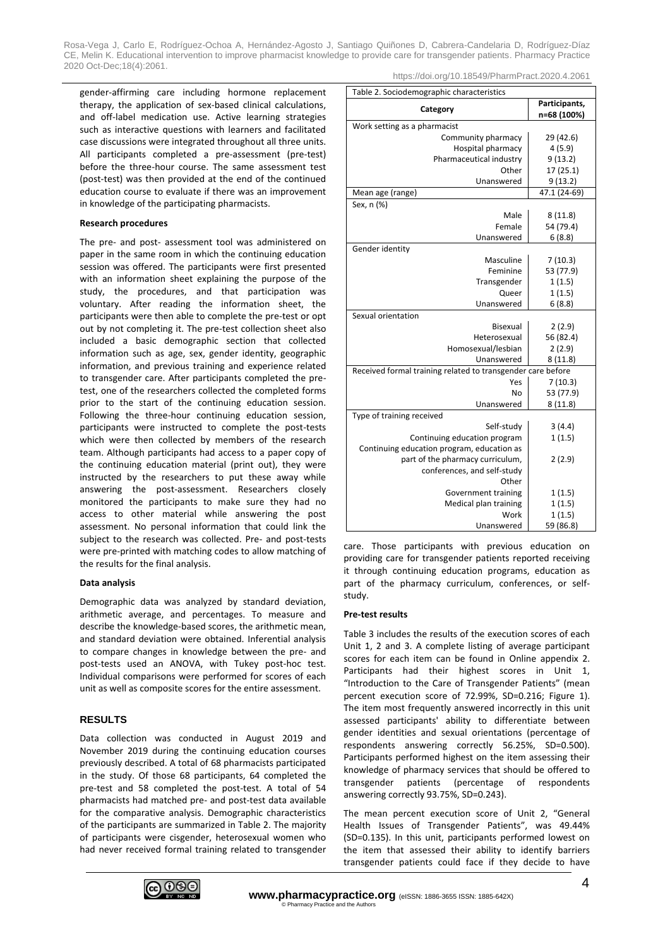gender-affirming care including hormone replacement therapy, the application of sex-based clinical calculations, and off-label medication use. Active learning strategies such as interactive questions with learners and facilitated case discussions were integrated throughout all three units. All participants completed a pre-assessment (pre-test) before the three-hour course. The same assessment test (post-test) was then provided at the end of the continued education course to evaluate if there was an improvement in knowledge of the participating pharmacists.

#### **Research procedures**

The pre- and post- assessment tool was administered on paper in the same room in which the continuing education session was offered. The participants were first presented with an information sheet explaining the purpose of the study, the procedures, and that participation was voluntary. After reading the information sheet, the participants were then able to complete the pre-test or opt out by not completing it. The pre-test collection sheet also included a basic demographic section that collected information such as age, sex, gender identity, geographic information, and previous training and experience related to transgender care. After participants completed the pretest, one of the researchers collected the completed forms prior to the start of the continuing education session. Following the three-hour continuing education session, participants were instructed to complete the post-tests which were then collected by members of the research team. Although participants had access to a paper copy of the continuing education material (print out), they were instructed by the researchers to put these away while answering the post-assessment. Researchers closely monitored the participants to make sure they had no access to other material while answering the post assessment. No personal information that could link the subject to the research was collected. Pre- and post-tests were pre-printed with matching codes to allow matching of the results for the final analysis.

#### **Data analysis**

Demographic data was analyzed by standard deviation, arithmetic average, and percentages. To measure and describe the knowledge-based scores, the arithmetic mean, and standard deviation were obtained. Inferential analysis to compare changes in knowledge between the pre- and post-tests used an ANOVA, with Tukey post-hoc test. Individual comparisons were performed for scores of each unit as well as composite scores for the entire assessment.

#### **RESULTS**

Data collection was conducted in August 2019 and November 2019 during the continuing education courses previously described. A total of 68 pharmacists participated in the study. Of those 68 participants, 64 completed the pre-test and 58 completed the post-test. A total of 54 pharmacists had matched pre- and post-test data available for the comparative analysis. Demographic characteristics of the participants are summarized in Table 2. The majority of participants were cisgender, heterosexual women who had never received formal training related to transgender https://doi.org/10.18549/PharmPract.2020.4.2061

| Table 2. Sociodemographic characteristics                   |                              |  |  |  |
|-------------------------------------------------------------|------------------------------|--|--|--|
| Category                                                    | Participants,<br>n=68 (100%) |  |  |  |
| Work setting as a pharmacist                                |                              |  |  |  |
| Community pharmacy                                          | 29 (42.6)                    |  |  |  |
| Hospital pharmacy                                           | 4(5.9)                       |  |  |  |
| Pharmaceutical industry                                     | 9(13.2)                      |  |  |  |
| Other                                                       | 17 (25.1)                    |  |  |  |
| Unanswered                                                  | 9(13.2)                      |  |  |  |
| Mean age (range)                                            | 47.1 (24-69)                 |  |  |  |
| Sex, n (%)                                                  |                              |  |  |  |
| Male                                                        | 8(11.8)                      |  |  |  |
| Female                                                      | 54 (79.4)                    |  |  |  |
| Unanswered                                                  | 6(8.8)                       |  |  |  |
| Gender identity                                             |                              |  |  |  |
| Masculine                                                   | 7(10.3)                      |  |  |  |
| Feminine                                                    | 53 (77.9)                    |  |  |  |
| Transgender                                                 | 1(1.5)                       |  |  |  |
| Queer                                                       | 1(1.5)                       |  |  |  |
| Unanswered                                                  | 6(8.8)                       |  |  |  |
| Sexual orientation                                          |                              |  |  |  |
| Bisexual                                                    | 2(2.9)                       |  |  |  |
| Heterosexual                                                | 56 (82.4)                    |  |  |  |
| Homosexual/lesbian                                          | 2(2.9)                       |  |  |  |
| Unanswered                                                  | 8(11.8)                      |  |  |  |
| Received formal training related to transgender care before |                              |  |  |  |
| Yes                                                         | 7(10.3)                      |  |  |  |
| No                                                          | 53 (77.9)                    |  |  |  |
| Unanswered                                                  | 8(11.8)                      |  |  |  |
| Type of training received                                   |                              |  |  |  |
| Self-study                                                  | 3(4.4)                       |  |  |  |
| Continuing education program                                | 1(1.5)                       |  |  |  |
| Continuing education program, education as                  |                              |  |  |  |
| part of the pharmacy curriculum,                            | 2(2.9)                       |  |  |  |
| conferences, and self-study                                 |                              |  |  |  |
| Other                                                       |                              |  |  |  |
| Government training                                         | 1(1.5)                       |  |  |  |
| Medical plan training                                       | 1(1.5)                       |  |  |  |
| Work                                                        | 1(1.5)                       |  |  |  |
| Unanswered                                                  | 59 (86.8)                    |  |  |  |

care. Those participants with previous education on providing care for transgender patients reported receiving it through continuing education programs, education as part of the pharmacy curriculum, conferences, or selfstudy.

#### **Pre-test results**

Table 3 includes the results of the execution scores of each Unit 1, 2 and 3. A complete listing of average participant scores for each item can be found in Online appendix 2. Participants had their highest scores in Unit 1, "Introduction to the Care of Transgender Patients" (mean percent execution score of 72.99%, SD=0.216; Figure 1). The item most frequently answered incorrectly in this unit assessed participants' ability to differentiate between gender identities and sexual orientations (percentage of respondents answering correctly 56.25%, SD=0.500). Participants performed highest on the item assessing their knowledge of pharmacy services that should be offered to transgender patients (percentage of respondents answering correctly 93.75%, SD=0.243).

The mean percent execution score of Unit 2, "General Health Issues of Transgender Patients", was 49.44% (SD=0.135). In this unit, participants performed lowest on the item that assessed their ability to identify barriers transgender patients could face if they decide to have

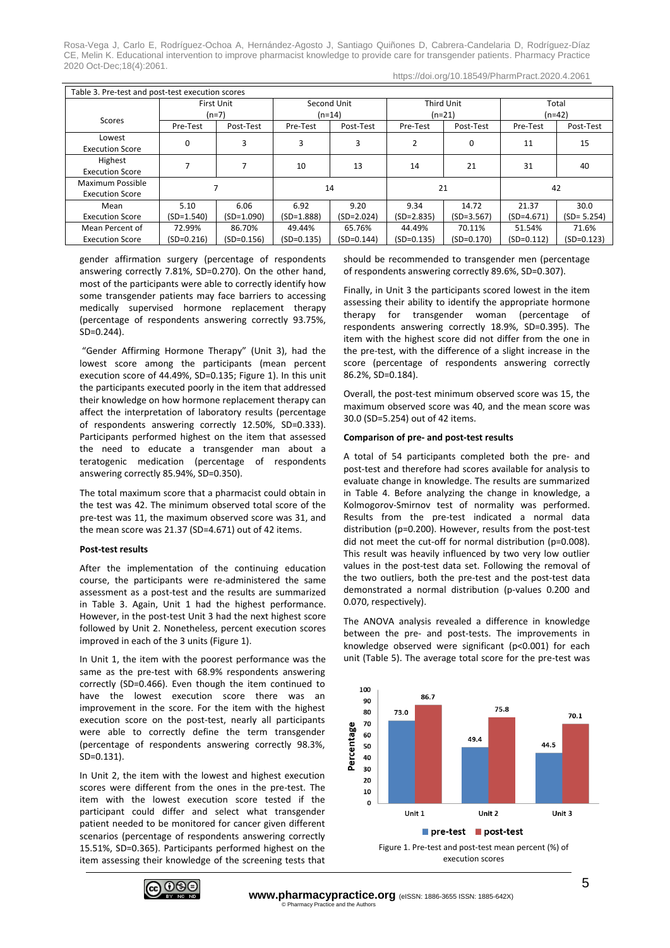https://doi.org/10.18549/PharmPract.2020.4.2061

| Table 3. Pre-test and post-test execution scores |              |                   |              |              |                |              |              |                |
|--------------------------------------------------|--------------|-------------------|--------------|--------------|----------------|--------------|--------------|----------------|
|                                                  |              | <b>First Unit</b> | Second Unit  |              | Third Unit     |              | Total        |                |
| Scores                                           | $(n=7)$      |                   | (n=14)       |              | $(n=21)$       |              | $(n=42)$     |                |
|                                                  | Pre-Test     | Post-Test         | Pre-Test     | Post-Test    | Pre-Test       | Post-Test    | Pre-Test     | Post-Test      |
| Lowest<br><b>Execution Score</b>                 | 0            | 3                 | 3            | 3            | $\overline{2}$ | 0            | 11           | 15             |
| Highest<br><b>Execution Score</b>                |              | 7                 | 10           | 13           | 14             | 21           | 31           | 40             |
| Maximum Possible<br><b>Execution Score</b>       |              |                   | 14           |              | 21             |              | 42           |                |
| Mean                                             | 5.10         | 6.06              | 6.92         | 9.20         | 9.34           | 14.72        | 21.37        | 30.0           |
| <b>Execution Score</b>                           | $(SD=1.540)$ | $(SD=1.090)$      | $(SD=1.888)$ | $(SD=2.024)$ | $(SD=2.835)$   | $(SD=3.567)$ | $(SD=4.671)$ | $(SD = 5.254)$ |
| Mean Percent of                                  | 72.99%       | 86.70%            | 49.44%       | 65.76%       | 44.49%         | 70.11%       | 51.54%       | 71.6%          |
| <b>Execution Score</b>                           | $(SD=0.216)$ | $(SD=0.156)$      | $(SD=0.135)$ | $(SD=0.144)$ | $(SD=0.135)$   | $(SD=0.170)$ | (SD=0.112)   | $(SD=0.123)$   |

gender affirmation surgery (percentage of respondents answering correctly 7.81%, SD=0.270). On the other hand, most of the participants were able to correctly identify how some transgender patients may face barriers to accessing medically supervised hormone replacement therapy (percentage of respondents answering correctly 93.75%, SD=0.244).

"Gender Affirming Hormone Therapy" (Unit 3), had the lowest score among the participants (mean percent execution score of 44.49%, SD=0.135; Figure 1). In this unit the participants executed poorly in the item that addressed their knowledge on how hormone replacement therapy can affect the interpretation of laboratory results (percentage of respondents answering correctly 12.50%, SD=0.333). Participants performed highest on the item that assessed the need to educate a transgender man about a teratogenic medication (percentage of respondents answering correctly 85.94%, SD=0.350).

The total maximum score that a pharmacist could obtain in the test was 42. The minimum observed total score of the pre-test was 11, the maximum observed score was 31, and the mean score was 21.37 (SD=4.671) out of 42 items.

#### **Post-test results**

After the implementation of the continuing education course, the participants were re-administered the same assessment as a post-test and the results are summarized in Table 3. Again, Unit 1 had the highest performance. However, in the post-test Unit 3 had the next highest score followed by Unit 2. Nonetheless, percent execution scores improved in each of the 3 units (Figure 1).

In Unit 1, the item with the poorest performance was the same as the pre-test with 68.9% respondents answering correctly (SD=0.466). Even though the item continued to have the lowest execution score there was an improvement in the score. For the item with the highest execution score on the post-test, nearly all participants were able to correctly define the term transgender (percentage of respondents answering correctly 98.3%, SD=0.131).

In Unit 2, the item with the lowest and highest execution scores were different from the ones in the pre-test. The item with the lowest execution score tested if the participant could differ and select what transgender patient needed to be monitored for cancer given different scenarios (percentage of respondents answering correctly 15.51%, SD=0.365). Participants performed highest on the item assessing their knowledge of the screening tests that

should be recommended to transgender men (percentage of respondents answering correctly 89.6%, SD=0.307).

Finally, in Unit 3 the participants scored lowest in the item assessing their ability to identify the appropriate hormone therapy for transgender woman (percentage of respondents answering correctly 18.9%, SD=0.395). The item with the highest score did not differ from the one in the pre-test, with the difference of a slight increase in the score (percentage of respondents answering correctly 86.2%, SD=0.184).

Overall, the post-test minimum observed score was 15, the maximum observed score was 40, and the mean score was 30.0 (SD=5.254) out of 42 items.

#### **Comparison of pre- and post-test results**

A total of 54 participants completed both the pre- and post-test and therefore had scores available for analysis to evaluate change in knowledge. The results are summarized in Table 4. Before analyzing the change in knowledge, a Kolmogorov-Smirnov test of normality was performed. Results from the pre-test indicated a normal data distribution (p=0.200). However, results from the post-test did not meet the cut-off for normal distribution (p=0.008). This result was heavily influenced by two very low outlier values in the post-test data set. Following the removal of the two outliers, both the pre-test and the post-test data demonstrated a normal distribution (p-values 0.200 and 0.070, respectively).

The ANOVA analysis revealed a difference in knowledge between the pre- and post-tests. The improvements in knowledge observed were significant (p<0.001) for each unit (Table 5). The average total score for the pre-test was





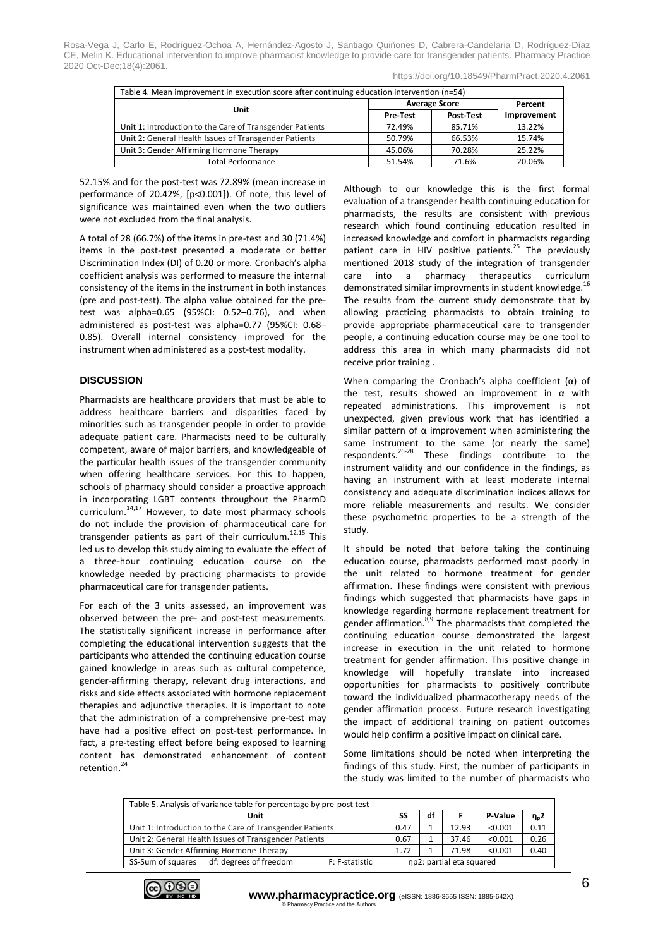|  | https://doi.org/10.18549/PharmPract.2020.4.2061 |
|--|-------------------------------------------------|
|  |                                                 |

| Table 4. Mean improvement in execution score after continuing education intervention (n=54) |                 |                      |             |  |  |
|---------------------------------------------------------------------------------------------|-----------------|----------------------|-------------|--|--|
| Unit                                                                                        |                 | <b>Average Score</b> |             |  |  |
|                                                                                             | <b>Pre-Test</b> | Post Test            | Improvement |  |  |
| Unit 1: Introduction to the Care of Transgender Patients                                    | 72.49%          | 85.71%               | 13.22%      |  |  |
| Unit 2: General Health Issues of Transgender Patients                                       | 50.79%          | 66.53%               | 15.74%      |  |  |
| Unit 3: Gender Affirming Hormone Therapy                                                    | 45.06%          | 70.28%               | 25.22%      |  |  |
| <b>Total Performance</b>                                                                    | 51.54%          | 71.6%                | 20.06%      |  |  |

52.15% and for the post-test was 72.89% (mean increase in performance of 20.42%, [p<0.001]). Of note, this level of significance was maintained even when the two outliers were not excluded from the final analysis.

A total of 28 (66.7%) of the items in pre-test and 30 (71.4%) items in the post-test presented a moderate or better Discrimination Index (DI) of 0.20 or more. Cronbach's alpha coefficient analysis was performed to measure the internal consistency of the items in the instrument in both instances (pre and post-test). The alpha value obtained for the pretest was alpha=0.65 (95%CI: 0.52–0.76), and when administered as post-test was alpha=0.77 (95%CI: 0.68– 0.85). Overall internal consistency improved for the instrument when administered as a post-test modality.

# **DISCUSSION**

Pharmacists are healthcare providers that must be able to address healthcare barriers and disparities faced by minorities such as transgender people in order to provide adequate patient care. Pharmacists need to be culturally competent, aware of major barriers, and knowledgeable of the particular health issues of the transgender community when offering healthcare services. For this to happen, schools of pharmacy should consider a proactive approach in incorporating LGBT contents throughout the PharmD curriculum.14,17 However, to date most pharmacy schools do not include the provision of pharmaceutical care for transgender patients as part of their curriculum.<sup>12,15</sup> This led us to develop this study aiming to evaluate the effect of a three-hour continuing education course on the knowledge needed by practicing pharmacists to provide pharmaceutical care for transgender patients.

For each of the 3 units assessed, an improvement was observed between the pre- and post-test measurements. The statistically significant increase in performance after completing the educational intervention suggests that the participants who attended the continuing education course gained knowledge in areas such as cultural competence, gender-affirming therapy, relevant drug interactions, and risks and side effects associated with hormone replacement therapies and adjunctive therapies. It is important to note that the administration of a comprehensive pre-test may have had a positive effect on post-test performance. In fact, a pre-testing effect before being exposed to learning content has demonstrated enhancement of content retention.<sup>24</sup>

Although to our knowledge this is the first formal evaluation of a transgender health continuing education for pharmacists, the results are consistent with previous research which found continuing education resulted in increased knowledge and comfort in pharmacists regarding patient care in HIV positive patients.<sup>25</sup> The previously mentioned 2018 study of the integration of transgender care into a pharmacy therapeutics curriculum demonstrated similar improvments in student knowledge.<sup>16</sup> The results from the current study demonstrate that by allowing practicing pharmacists to obtain training to provide appropriate pharmaceutical care to transgender people, a continuing education course may be one tool to address this area in which many pharmacists did not receive prior training .

When comparing the Cronbach's alpha coefficient (α) of the test, results showed an improvement in  $α$  with repeated administrations. This improvement is not unexpected, given previous work that has identified a similar pattern of  $\alpha$  improvement when administering the same instrument to the same (or nearly the same) respondents.26-28 These findings contribute to the instrument validity and our confidence in the findings, as having an instrument with at least moderate internal consistency and adequate discrimination indices allows for more reliable measurements and results. We consider these psychometric properties to be a strength of the study.

It should be noted that before taking the continuing education course, pharmacists performed most poorly in the unit related to hormone treatment for gender affirmation. These findings were consistent with previous findings which suggested that pharmacists have gaps in knowledge regarding hormone replacement treatment for gender affirmation. $8^{59}$  The pharmacists that completed the continuing education course demonstrated the largest increase in execution in the unit related to hormone treatment for gender affirmation. This positive change in knowledge will hopefully translate into increased opportunities for pharmacists to positively contribute toward the individualized pharmacotherapy needs of the gender affirmation process. Future research investigating the impact of additional training on patient outcomes would help confirm a positive impact on clinical care.

Some limitations should be noted when interpreting the findings of this study. First, the number of participants in the study was limited to the number of pharmacists who

| Table 5. Analysis of variance table for percentage by pre-post test |      |                          |       |         |            |  |  |
|---------------------------------------------------------------------|------|--------------------------|-------|---------|------------|--|--|
| Unit                                                                | SS   | df                       |       | P-Value | $\eta_p$ 2 |  |  |
| Unit 1: Introduction to the Care of Transgender Patients            | 0.47 |                          | 12.93 | < 0.001 | 0.11       |  |  |
| Unit 2: General Health Issues of Transgender Patients               | 0.67 |                          | 37.46 | < 0.001 | 0.26       |  |  |
| Unit 3: Gender Affirming Hormone Therapy                            | 1.72 |                          | 71.98 | < 0.001 | 0.40       |  |  |
| SS-Sum of squares<br>df: degrees of freedom<br>F: F-statistic       |      | np2: partial eta squared |       |         |            |  |  |

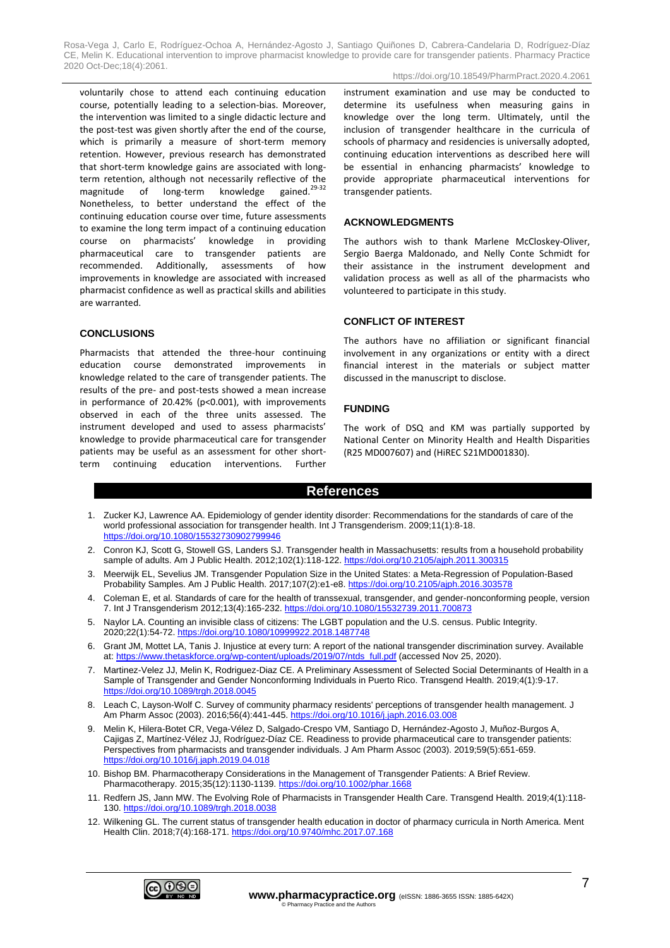voluntarily chose to attend each continuing education course, potentially leading to a selection-bias. Moreover, the intervention was limited to a single didactic lecture and the post-test was given shortly after the end of the course, which is primarily a measure of short-term memory retention. However, previous research has demonstrated that short-term knowledge gains are associated with longterm retention, although not necessarily reflective of the magnitude of long-term knowledge gained.<sup>29-32</sup> Nonetheless, to better understand the effect of the continuing education course over time, future assessments to examine the long term impact of a continuing education course on pharmacists' knowledge in providing pharmaceutical care to transgender patients are recommended. Additionally, assessments of how improvements in knowledge are associated with increased pharmacist confidence as well as practical skills and abilities are warranted.

**CONCLUSIONS**

Pharmacists that attended the three-hour continuing education course demonstrated improvements in knowledge related to the care of transgender patients. The results of the pre- and post-tests showed a mean increase in performance of 20.42% (p<0.001), with improvements observed in each of the three units assessed. The instrument developed and used to assess pharmacists' knowledge to provide pharmaceutical care for transgender patients may be useful as an assessment for other shortterm continuing education interventions. Further instrument examination and use may be conducted to determine its usefulness when measuring gains in knowledge over the long term. Ultimately, until the inclusion of transgender healthcare in the curricula of schools of pharmacy and residencies is universally adopted, continuing education interventions as described here will be essential in enhancing pharmacists' knowledge to provide appropriate pharmaceutical interventions for transgender patients.

#### **ACKNOWLEDGMENTS**

The authors wish to thank Marlene McCloskey-Oliver, Sergio Baerga Maldonado, and Nelly Conte Schmidt for their assistance in the instrument development and validation process as well as all of the pharmacists who volunteered to participate in this study.

#### **CONFLICT OF INTEREST**

The authors have no affiliation or significant financial involvement in any organizations or entity with a direct financial interest in the materials or subject matter discussed in the manuscript to disclose.

#### **FUNDING**

The work of DSQ and KM was partially supported by National Center on Minority Health and Health Disparities (R25 MD007607) and (HiREC S21MD001830).

## **References**

- 1. Zucker KJ, Lawrence AA. Epidemiology of gender identity disorder: Recommendations for the standards of care of the world professional association for transgender health. Int J Transgenderism. 2009;11(1):8-18. <https://doi.org/10.1080/15532730902799946>
- 2. Conron KJ, Scott G, Stowell GS, Landers SJ. Transgender health in Massachusetts: results from a household probability sample of adults. Am J Public Health. 2012;102(1):118-122.<https://doi.org/10.2105/ajph.2011.300315>
- 3. Meerwijk EL, Sevelius JM. Transgender Population Size in the United States: a Meta-Regression of Population-Based Probability Samples. Am J Public Health. 2017;107(2):e1-e8[. https://doi.org/10.2105/ajph.2016.303578](https://doi.org/10.2105/ajph.2016.303578)
- 4. Coleman E, et al. Standards of care for the health of transsexual, transgender, and gender-nonconforming people, version 7. Int J Transgenderism 2012;13(4):165-232. <https://doi.org/10.1080/15532739.2011.700873>
- 5. Naylor LA. Counting an invisible class of citizens: The LGBT population and the U.S. census. Public Integrity. 2020;22(1):54-72. <https://doi.org/10.1080/10999922.2018.1487748>
- 6. Grant JM, Mottet LA, Tanis J. Injustice at every turn: A report of the national transgender discrimination survey. Available at[: https://www.thetaskforce.org/wp-content/uploads/2019/07/ntds\\_full.pdf](https://www.thetaskforce.org/wp-content/uploads/2019/07/ntds_full.pdf) (accessed Nov 25, 2020).
- 7. Martinez-Velez JJ, Melin K, Rodriguez-Diaz CE. A Preliminary Assessment of Selected Social Determinants of Health in a Sample of Transgender and Gender Nonconforming Individuals in Puerto Rico. Transgend Health. 2019;4(1):9-17. <https://doi.org/10.1089/trgh.2018.0045>
- 8. Leach C, Layson-Wolf C. Survey of community pharmacy residents' perceptions of transgender health management. J Am Pharm Assoc (2003). 2016;56(4):441-445[. https://doi.org/10.1016/j.japh.2016.03.008](https://doi.org/10.1016/j.japh.2016.03.008)
- 9. Melin K, Hilera-Botet CR, Vega-Vélez D, Salgado-Crespo VM, Santiago D, Hernández-Agosto J, Muñoz-Burgos A, Cajigas Z, Martínez-Vélez JJ, Rodríguez-Díaz CE. Readiness to provide pharmaceutical care to transgender patients: Perspectives from pharmacists and transgender individuals. J Am Pharm Assoc (2003). 2019;59(5):651-659. <https://doi.org/10.1016/j.japh.2019.04.018>
- 10. Bishop BM. Pharmacotherapy Considerations in the Management of Transgender Patients: A Brief Review. Pharmacotherapy. 2015;35(12):1130-1139.<https://doi.org/10.1002/phar.1668>
- 11. Redfern JS, Jann MW. The Evolving Role of Pharmacists in Transgender Health Care. Transgend Health. 2019;4(1):118- 130. https://doi.org/10.1089/trgh.201
- 12. Wilkening GL. The current status of transgender health education in doctor of pharmacy curricula in North America. Ment Health Clin. 2018;7(4):168-171.<https://doi.org/10.9740/mhc.2017.07.168>